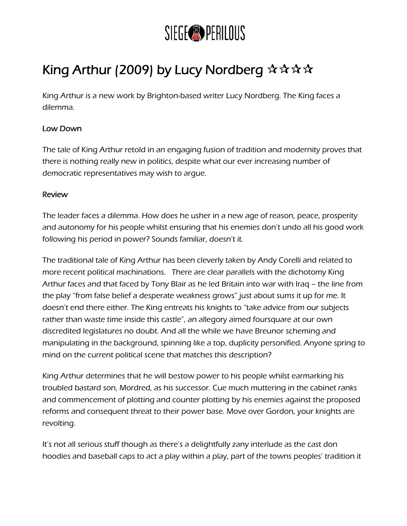

## King Arthur (2009) by Lucy Nordberg  $\mathbf{\hat{x}} \mathbf{\hat{x}} \mathbf{\hat{x}} \mathbf{\hat{x}}$

King Arthur is a new work by Brighton-based writer Lucy Nordberg. The King faces a dilemma.

## Low Down

The tale of King Arthur retold in an engaging fusion of tradition and modernity proves that there is nothing really new in politics, despite what our ever increasing number of democratic representatives may wish to argue.

## Review

The leader faces a dilemma. How does he usher in a new age of reason, peace, prosperity and autonomy for his people whilst ensuring that his enemies don't undo all his good work following his period in power? Sounds familiar, doesn't it.

The traditional tale of King Arthur has been cleverly taken by Andy Corelli and related to more recent political machinations. There are clear parallels with the dichotomy King Arthur faces and that faced by Tony Blair as he led Britain into war with Iraq – the line from the play "from false belief a desperate weakness grows" just about sums it up for me. It doesn't end there either. The King entreats his knights to "take advice from our subjects rather than waste time inside this castle", an allegory aimed foursquare at our own discredited legislatures no doubt. And all the while we have Breunor scheming and manipulating in the background, spinning like a top, duplicity personified. Anyone spring to mind on the current political scene that matches this description?

King Arthur determines that he will bestow power to his people whilst earmarking his troubled bastard son, Mordred, as his successor. Cue much muttering in the cabinet ranks and commencement of plotting and counter plotting by his enemies against the proposed reforms and consequent threat to their power base. Move over Gordon, your knights are revolting.

It's not all serious stuff though as there's a delightfully zany interlude as the cast don hoodies and baseball caps to act a play within a play, part of the towns peoples' tradition it